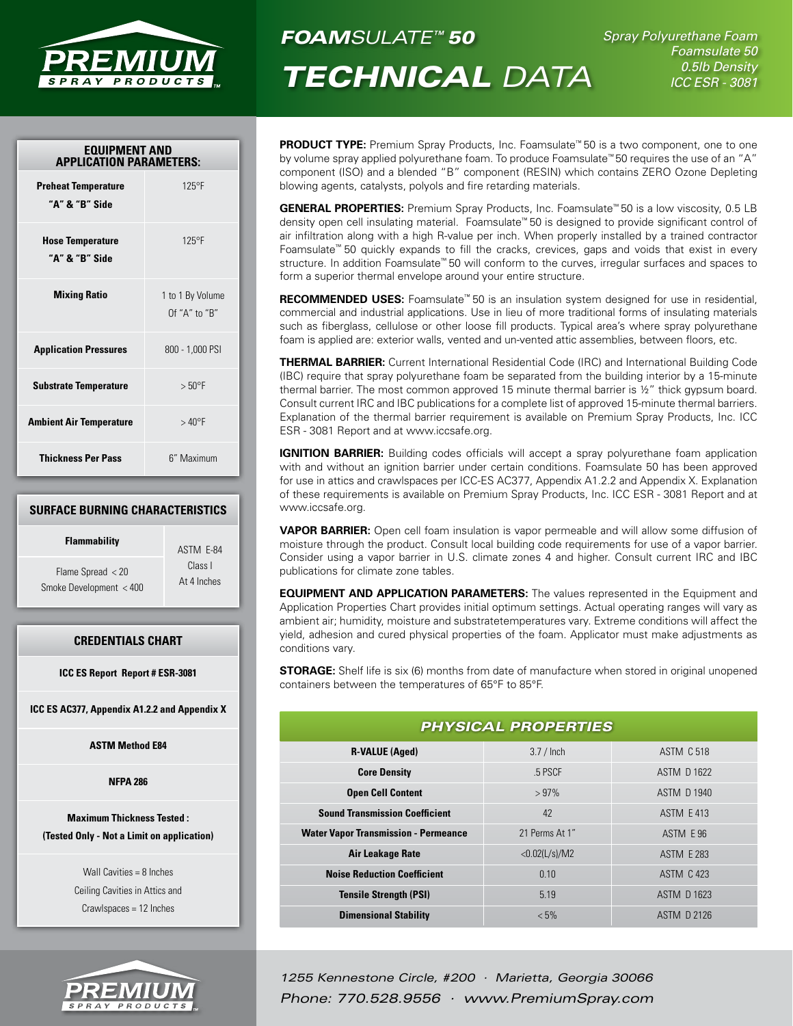

*FOAMSULATE™ 50*

*Technical Data*

*Spray Polyurethane Foam Foamsulate 50 0.5lb Density ICC ESR - 3081*

| <b>EQUIPMENT AND</b><br><b>APPLICATION PARAMETERS:</b> |                                   |  |
|--------------------------------------------------------|-----------------------------------|--|
| <b>Preheat Temperature</b><br>"A" & "B" Side           | $125^{\circ}F$                    |  |
| <b>Hose Temperature</b><br>"A" & "B" Side              | $125^{\circ}F$                    |  |
| <b>Mixing Ratio</b>                                    | 1 to 1 By Volume<br>Of "A" to "B" |  |
| <b>Application Pressures</b>                           | 800 - 1,000 PSI                   |  |
| <b>Substrate Temperature</b>                           | > 50°F                            |  |
| <b>Ambient Air Temperature</b>                         | $>40^{\circ}$ F                   |  |
| <b>Thickness Per Pass</b>                              | 6" Maximum                        |  |

# **Surface Burning Characteristics**

| <b>Flammability</b>     | ASTM E-84   |
|-------------------------|-------------|
| Flame Spread $<$ 20     | Class L     |
| Smoke Development < 400 | At 4 Inches |

# **Credentials Chart**

**ICC ES Report Report # ESR-3081**

**ICC ES AC377, Appendix A1.2.2 and Appendix X**

**ASTM Method E84**

**NFPA 286**

# **Maximum Thickness Tested : (Tested Only - Not a Limit on application)**

Wall Cavities = 8 Inches Ceiling Cavities in Attics and Crawlspaces = 12 Inches



**PRODUCT TYPE:** Premium Spray Products, Inc. Foamsulate<sup>™</sup> 50 is a two component, one to one by volume spray applied polyurethane foam. To produce Foamsulate™ 50 requires the use of an "A" component (ISO) and a blended "B" component (RESIN) which contains ZERO Ozone Depleting blowing agents, catalysts, polyols and fire retarding materials.

**GENERAL PROPERTIES:** Premium Spray Products, Inc. Foamsulate™ 50 is a low viscosity, 0.5 LB density open cell insulating material. Foamsulate™ 50 is designed to provide significant control of air infiltration along with a high R-value per inch. When properly installed by a trained contractor Foamsulate™ 50 quickly expands to fill the cracks, crevices, gaps and voids that exist in every structure. In addition Foamsulate™ 50 will conform to the curves, irregular surfaces and spaces to form a superior thermal envelope around your entire structure.

**RECOMMENDED USES:** Foamsulate<sup>™</sup> 50 is an insulation system designed for use in residential, commercial and industrial applications. Use in lieu of more traditional forms of insulating materials such as fiberglass, cellulose or other loose fill products. Typical area's where spray polyurethane foam is applied are: exterior walls, vented and un-vented attic assemblies, between floors, etc.

**Thermal Barrier:** Current International Residential Code (IRC) and International Building Code (IBC) require that spray polyurethane foam be separated from the building interior by a 15-minute thermal barrier. The most common approved 15 minute thermal barrier is ½" thick gypsum board. Consult current IRC and IBC publications for a complete list of approved 15-minute thermal barriers. Explanation of the thermal barrier requirement is available on Premium Spray Products, Inc. ICC ESR - 3081 Report and at www.iccsafe.org.

**IGNITION BARRIER:** Building codes officials will accept a spray polyurethane foam application with and without an ignition barrier under certain conditions. Foamsulate 50 has been approved for use in attics and crawlspaces per ICC-ES AC377, Appendix A1.2.2 and Appendix X. Explanation of these requirements is available on Premium Spray Products, Inc. ICC ESR - 3081 Report and at www.iccsafe.org.

**VAPOR BARRIER:** Open cell foam insulation is vapor permeable and will allow some diffusion of moisture through the product. Consult local building code requirements for use of a vapor barrier. Consider using a vapor barrier in U.S. climate zones 4 and higher. Consult current IRC and IBC publications for climate zone tables.

**EQUIPMENT AND APPLICATION PARAMETERS:** The values represented in the Equipment and Application Properties Chart provides initial optimum settings. Actual operating ranges will vary as ambient air; humidity, moisture and substratetemperatures vary. Extreme conditions will affect the yield, adhesion and cured physical properties of the foam. Applicator must make adjustments as conditions vary.

**STORAGE:** Shelf life is six (6) months from date of manufacture when stored in original unopened containers between the temperatures of 65°F to 85°F.

| <b>PHYSICAL PROPERTIES</b>                  |                |                    |  |
|---------------------------------------------|----------------|--------------------|--|
| <b>R-VALUE (Aged)</b>                       | $3.7/$ Inch    | <b>ASTM C 518</b>  |  |
| <b>Core Density</b>                         | .5 PSCF        | <b>ASTM D 1622</b> |  |
| <b>Open Cell Content</b>                    | >97%           | <b>ASTM D 1940</b> |  |
| <b>Sound Transmission Coefficient</b>       | 42             | ASTM E 413         |  |
| <b>Water Vapor Transmission - Permeance</b> | 21 Perms At 1" | ASTM E 96          |  |
| <b>Air Leakage Rate</b>                     | <0.02(L/s)/M2  | <b>ASTM E 283</b>  |  |
| <b>Noise Reduction Coefficient</b>          | 0.10           | <b>ASTM C 423</b>  |  |
| <b>Tensile Strength (PSI)</b>               | 5.19           | <b>ASTM D 1623</b> |  |
| <b>Dimensional Stability</b>                | $< 5\%$        | <b>ASTM D 2126</b> |  |

*1255 Kennestone Circle, #200 · Marietta, Georgia 30066 Phone: 770.528.9556 · www.PremiumSpray.com*